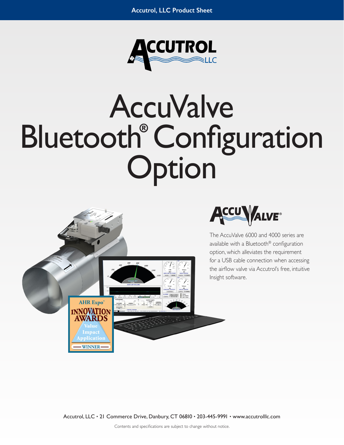

## AccuValve Bluetooth**®** Configuration Option





The AccuValve 6000 and 4000 series are available with a Bluetooth® configuration option, which alleviates the requirement for a USB cable connection when accessing the airflow valve via Accutrol's free, intuitive Insight software.

Accutrol, LLC • 21 Commerce Drive, Danbury, CT 06810 • 203-445-9991 • www.accutrolllc.com

Contents and specifications are subject to change without notice.